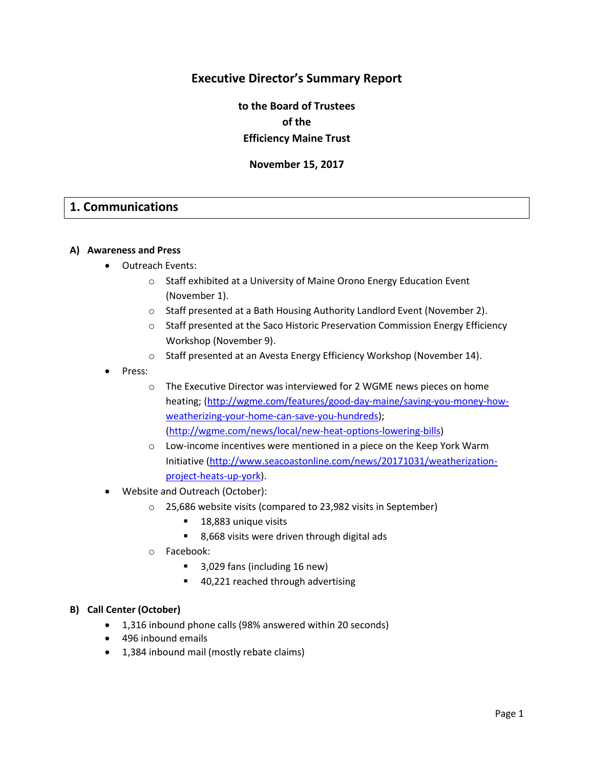# **Executive Director's Summary Report**

**to the Board of Trustees of the Efficiency Maine Trust**

**November 15, 2017**

# **1. Communications**

#### **A) Awareness and Press**

- Outreach Events:
	- o Staff exhibited at a University of Maine Orono Energy Education Event (November 1).
	- o Staff presented at a Bath Housing Authority Landlord Event (November 2).
	- o Staff presented at the Saco Historic Preservation Commission Energy Efficiency Workshop (November 9).
	- o Staff presented at an Avesta Energy Efficiency Workshop (November 14).
- Press:
	- o The Executive Director was interviewed for 2 WGME news pieces on home heating; [\(http://wgme.com/features/good-day-maine/saving-you-money-how](http://wgme.com/features/good-day-maine/saving-you-money-how-weatherizing-your-home-can-save-you-hundreds)[weatherizing-your-home-can-save-you-hundreds\)](http://wgme.com/features/good-day-maine/saving-you-money-how-weatherizing-your-home-can-save-you-hundreds); [\(http://wgme.com/news/local/new-heat-options-lowering-bills\)](http://wgme.com/news/local/new-heat-options-lowering-bills)
	- o Low-income incentives were mentioned in a piece on the Keep York Warm Initiative [\(http://www.seacoastonline.com/news/20171031/weatherization](http://www.seacoastonline.com/news/20171031/weatherization-project-heats-up-york)[project-heats-up-york\)](http://www.seacoastonline.com/news/20171031/weatherization-project-heats-up-york).
- Website and Outreach (October):
	- o 25,686 website visits (compared to 23,982 visits in September)
		- 18,883 unique visits
		- 8,668 visits were driven through digital ads
	- o Facebook:
		- 3,029 fans (including 16 new)
		- 40,221 reached through advertising

#### **B) Call Center (October)**

- 1,316 inbound phone calls (98% answered within 20 seconds)
- 496 inbound emails
- 1,384 inbound mail (mostly rebate claims)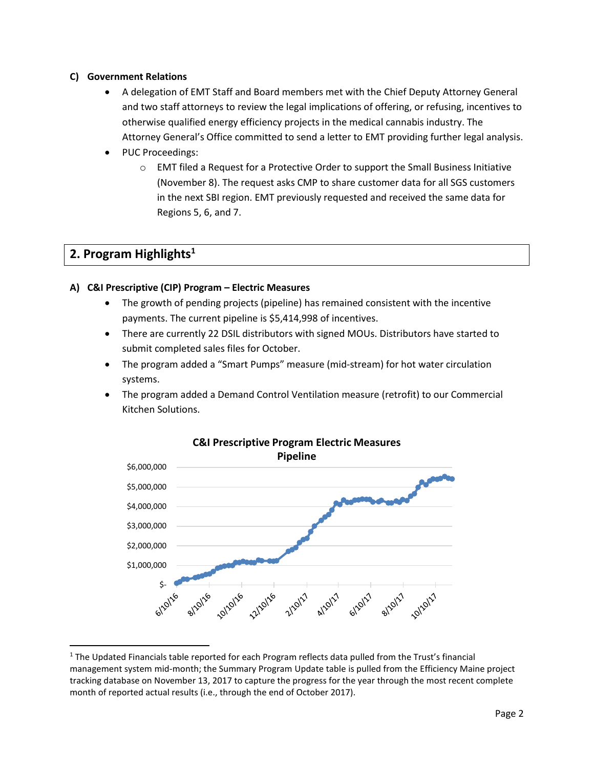# **C) Government Relations**

- A delegation of EMT Staff and Board members met with the Chief Deputy Attorney General and two staff attorneys to review the legal implications of offering, or refusing, incentives to otherwise qualified energy efficiency projects in the medical cannabis industry. The Attorney General's Office committed to send a letter to EMT providing further legal analysis.
- PUC Proceedings:
	- o EMT filed a Request for a Protective Order to support the Small Business Initiative (November 8). The request asks CMP to share customer data for all SGS customers in the next SBI region. EMT previously requested and received the same data for Regions 5, 6, and 7.

# **2. Program Highlights<sup>1</sup>**

l

# **A) C&I Prescriptive (CIP) Program – Electric Measures**

- The growth of pending projects (pipeline) has remained consistent with the incentive payments. The current pipeline is \$5,414,998 of incentives.
- There are currently 22 DSIL distributors with signed MOUs. Distributors have started to submit completed sales files for October.
- The program added a "Smart Pumps" measure (mid-stream) for hot water circulation systems.
- The program added a Demand Control Ventilation measure (retrofit) to our Commercial Kitchen Solutions.



# **C&I Prescriptive Program Electric Measures**

 $1$  The Updated Financials table reported for each Program reflects data pulled from the Trust's financial management system mid-month; the Summary Program Update table is pulled from the Efficiency Maine project tracking database on November 13, 2017 to capture the progress for the year through the most recent complete month of reported actual results (i.e., through the end of October 2017).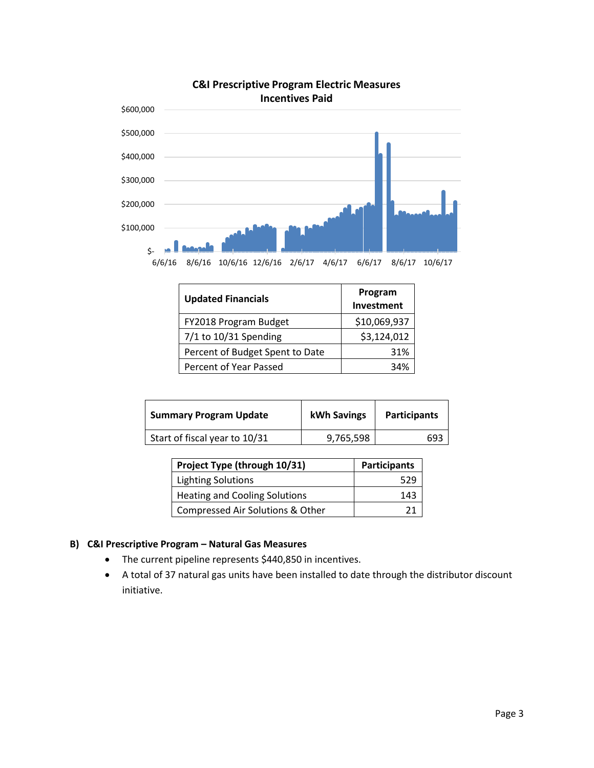

# **C&I Prescriptive Program Electric Measures**

| <b>Updated Financials</b>       | Program<br>Investment |  |
|---------------------------------|-----------------------|--|
| FY2018 Program Budget           | \$10,069,937          |  |
| 7/1 to 10/31 Spending           | \$3,124,012           |  |
| Percent of Budget Spent to Date | 31%                   |  |
| Percent of Year Passed          | 34%                   |  |

| <b>Summary Program Update</b> | kWh Savings | <b>Participants</b> |
|-------------------------------|-------------|---------------------|
| Start of fiscal year to 10/31 | 9,765,598   | 693                 |

| Project Type (through 10/31)     | <b>Participants</b> |
|----------------------------------|---------------------|
| Lighting Solutions               | 529                 |
| Heating and Cooling Solutions    | 143                 |
| Compressed Air Solutions & Other |                     |

# **B) C&I Prescriptive Program – Natural Gas Measures**

- The current pipeline represents \$440,850 in incentives.
- A total of 37 natural gas units have been installed to date through the distributor discount initiative.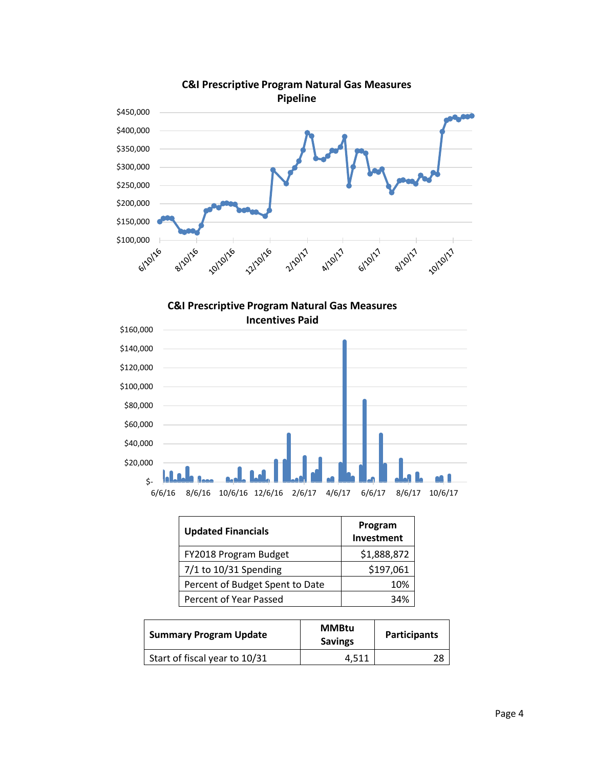

**C&I Prescriptive Program Natural Gas Measures** 



| <b>Updated Financials</b>       | Program<br>Investment |
|---------------------------------|-----------------------|
| FY2018 Program Budget           | \$1,888,872           |
| 7/1 to 10/31 Spending           | \$197,061             |
| Percent of Budget Spent to Date | 10%                   |
| Percent of Year Passed          | 34%                   |

| <b>Summary Program Update</b> | <b>MMBtu</b><br><b>Savings</b> | <b>Participants</b> |
|-------------------------------|--------------------------------|---------------------|
| Start of fiscal year to 10/31 | 4.511                          | 28                  |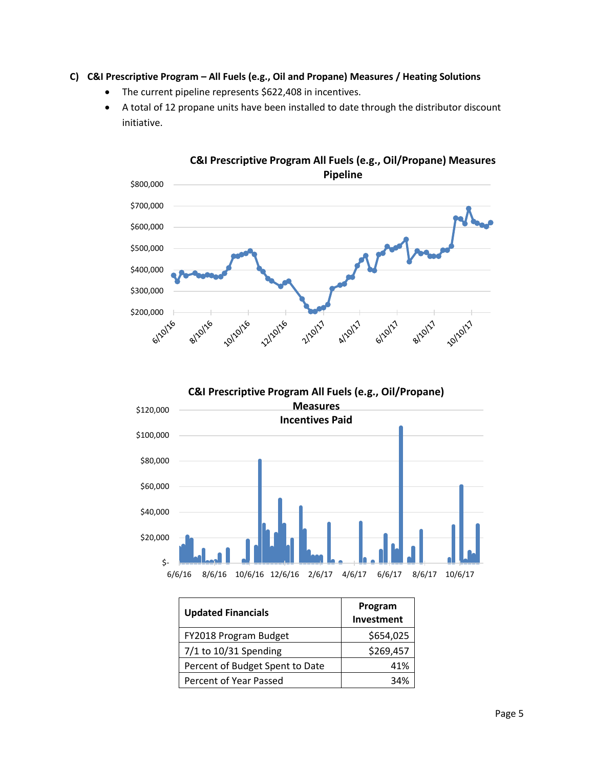# **C) C&I Prescriptive Program – All Fuels (e.g., Oil and Propane) Measures / Heating Solutions**

- The current pipeline represents \$622,408 in incentives.
- A total of 12 propane units have been installed to date through the distributor discount initiative.



**C&I Prescriptive Program All Fuels (e.g., Oil/Propane) Measures Pipeline**

**C&I Prescriptive Program All Fuels (e.g., Oil/Propane)** 



| <b>Updated Financials</b>       | Program<br>Investment |
|---------------------------------|-----------------------|
| FY2018 Program Budget           | \$654,025             |
| $7/1$ to 10/31 Spending         | \$269,457             |
| Percent of Budget Spent to Date | 41%                   |
| Percent of Year Passed          | 34%                   |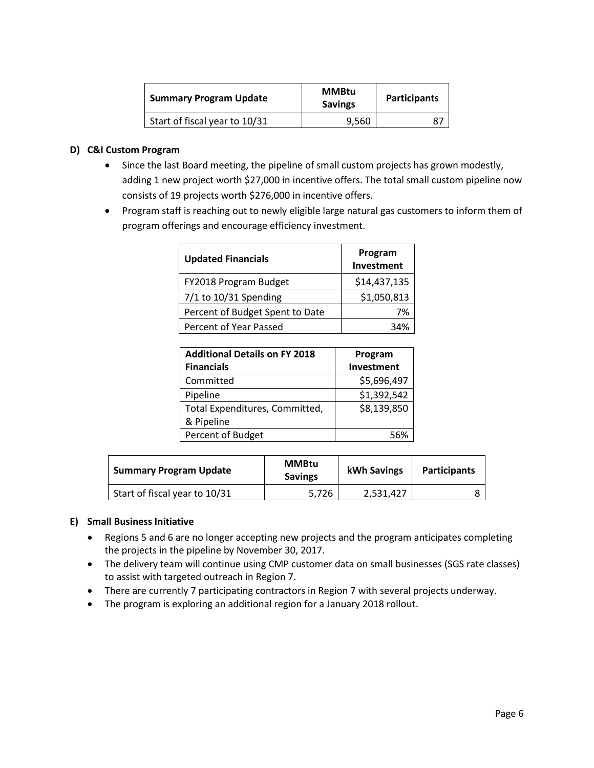| <b>Summary Program Update</b> | <b>MMBtu</b><br><b>Savings</b> | <b>Participants</b> |
|-------------------------------|--------------------------------|---------------------|
| Start of fiscal year to 10/31 | 9,560                          |                     |

# **D) C&I Custom Program**

- Since the last Board meeting, the pipeline of small custom projects has grown modestly, adding 1 new project worth \$27,000 in incentive offers. The total small custom pipeline now consists of 19 projects worth \$276,000 in incentive offers.
- Program staff is reaching out to newly eligible large natural gas customers to inform them of program offerings and encourage efficiency investment.

| <b>Updated Financials</b>       | Program<br>Investment |
|---------------------------------|-----------------------|
| FY2018 Program Budget           | \$14,437,135          |
| $7/1$ to 10/31 Spending         | \$1,050,813           |
| Percent of Budget Spent to Date | 7%                    |
| Percent of Year Passed          | 34%                   |

| <b>Additional Details on FY 2018</b> | Program     |  |
|--------------------------------------|-------------|--|
| <b>Financials</b>                    | Investment  |  |
| Committed                            | \$5,696,497 |  |
| Pipeline                             | \$1,392,542 |  |
| Total Expenditures, Committed,       | \$8,139,850 |  |
| & Pipeline                           |             |  |
| Percent of Budget                    | 56%         |  |

| <b>Summary Program Update</b> | <b>MMBtu</b><br><b>Savings</b> | <b>kWh Savings</b> | <b>Participants</b> |
|-------------------------------|--------------------------------|--------------------|---------------------|
| Start of fiscal year to 10/31 | 5.726                          | 2,531,427          |                     |

# **E) Small Business Initiative**

- Regions 5 and 6 are no longer accepting new projects and the program anticipates completing the projects in the pipeline by November 30, 2017.
- The delivery team will continue using CMP customer data on small businesses (SGS rate classes) to assist with targeted outreach in Region 7.
- There are currently 7 participating contractors in Region 7 with several projects underway.
- The program is exploring an additional region for a January 2018 rollout.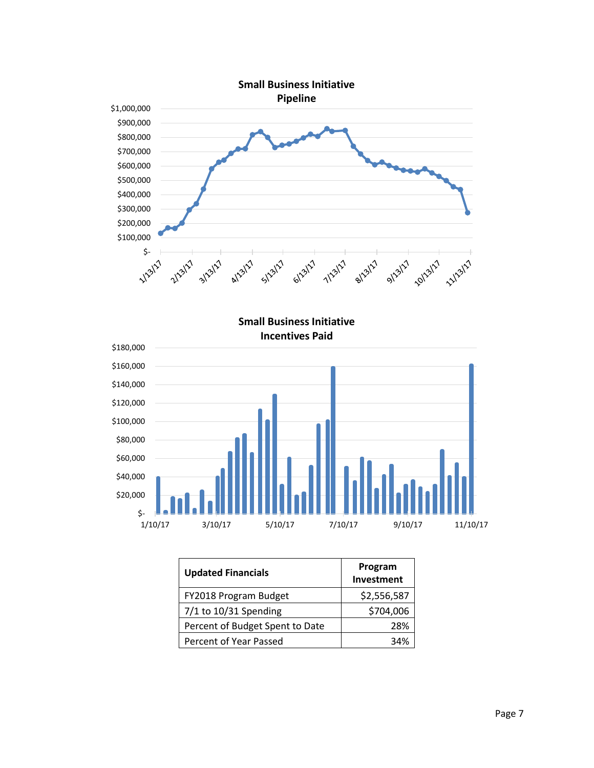

| <b>Updated Financials</b>       | Program<br>Investment |
|---------------------------------|-----------------------|
| FY2018 Program Budget           | \$2,556,587           |
| $7/1$ to 10/31 Spending         | \$704,006             |
| Percent of Budget Spent to Date | 28%                   |
| Percent of Year Passed          | 34%                   |

1/10/17 3/10/17 5/10/17 7/10/17 9/10/17 11/10/17

\$-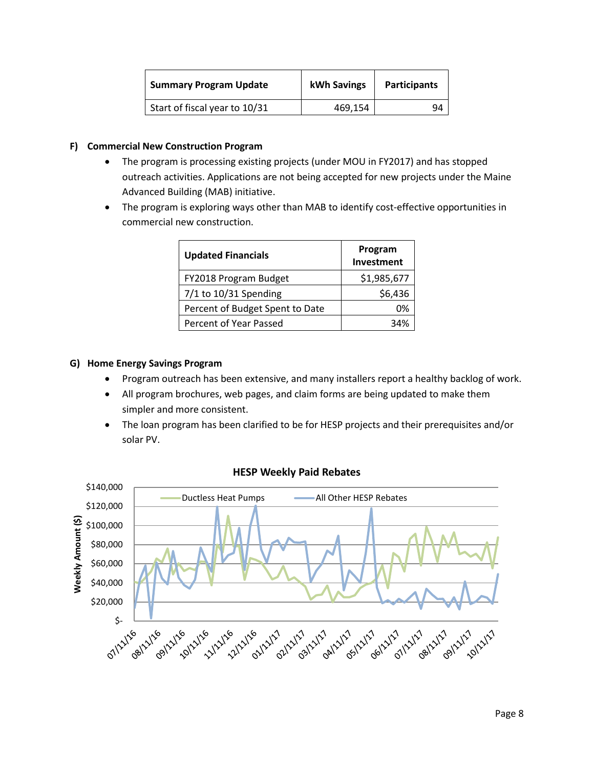| <b>Summary Program Update</b> | kWh Savings | <b>Participants</b> |
|-------------------------------|-------------|---------------------|
| Start of fiscal year to 10/31 | 469.154     | ٩Δ                  |

# **F) Commercial New Construction Program**

- The program is processing existing projects (under MOU in FY2017) and has stopped outreach activities. Applications are not being accepted for new projects under the Maine Advanced Building (MAB) initiative.
- The program is exploring ways other than MAB to identify cost-effective opportunities in commercial new construction.

| <b>Updated Financials</b>       | Program<br>Investment |
|---------------------------------|-----------------------|
| FY2018 Program Budget           | \$1,985,677           |
| $7/1$ to 10/31 Spending         | \$6,436               |
| Percent of Budget Spent to Date | 0%                    |
| Percent of Year Passed          | 34%                   |

# **G) Home Energy Savings Program**

- Program outreach has been extensive, and many installers report a healthy backlog of work.
- All program brochures, web pages, and claim forms are being updated to make them simpler and more consistent.
- The loan program has been clarified to be for HESP projects and their prerequisites and/or solar PV.



# **HESP Weekly Paid Rebates**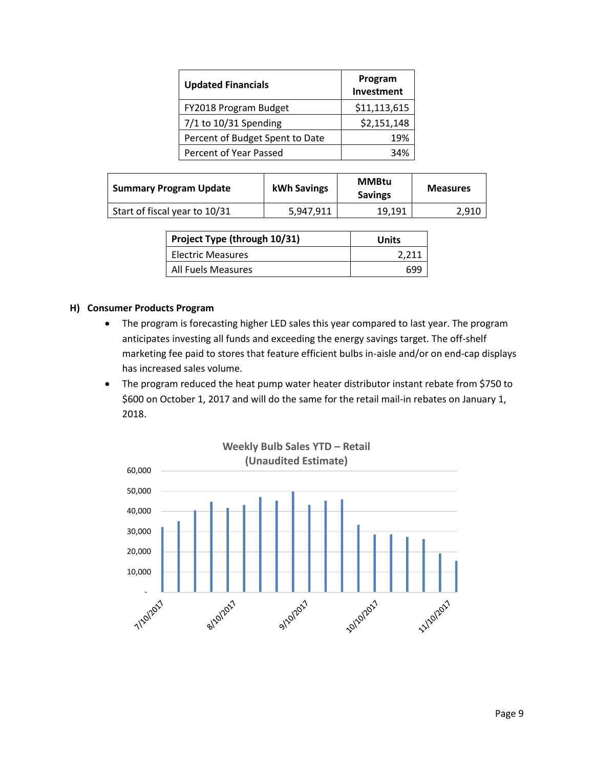| <b>Updated Financials</b>       | Program<br>Investment |  |
|---------------------------------|-----------------------|--|
| FY2018 Program Budget           | \$11,113,615          |  |
| $7/1$ to 10/31 Spending         | \$2,151,148           |  |
| Percent of Budget Spent to Date | 19%                   |  |
| Percent of Year Passed          |                       |  |

| <b>Summary Program Update</b> | kWh Savings | <b>MMBtu</b><br><b>Savings</b> | <b>Measures</b> |
|-------------------------------|-------------|--------------------------------|-----------------|
| Start of fiscal year to 10/31 | 5,947,911   | 19.191                         | 2,910           |

| Project Type (through 10/31) | Units |
|------------------------------|-------|
| Electric Measures            | 2.211 |
| All Fuels Measures           | 690   |

### **H) Consumer Products Program**

- The program is forecasting higher LED sales this year compared to last year. The program anticipates investing all funds and exceeding the energy savings target. The off-shelf marketing fee paid to stores that feature efficient bulbs in-aisle and/or on end-cap displays has increased sales volume.
- The program reduced the heat pump water heater distributor instant rebate from \$750 to \$600 on October 1, 2017 and will do the same for the retail mail-in rebates on January 1, 2018.

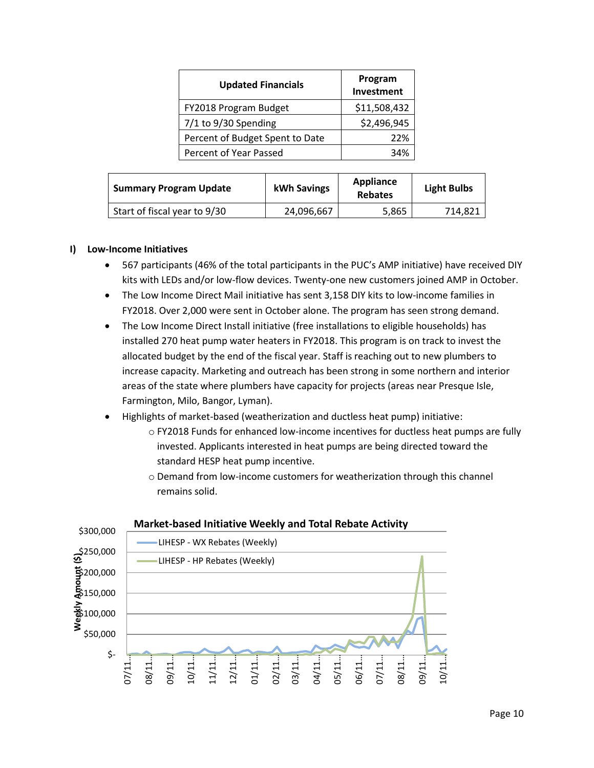| <b>Updated Financials</b>       | Program<br>Investment |
|---------------------------------|-----------------------|
| FY2018 Program Budget           | \$11,508,432          |
| 7/1 to 9/30 Spending            | \$2,496,945           |
| Percent of Budget Spent to Date | 22%                   |
| Percent of Year Passed          | 34%                   |

| <b>Summary Program Update</b> | kWh Savings | <b>Appliance</b><br><b>Rebates</b> | <b>Light Bulbs</b> |
|-------------------------------|-------------|------------------------------------|--------------------|
| Start of fiscal year to 9/30  | 24,096,667  | 5,865                              | 714,821            |

### **I) Low-Income Initiatives**

- 567 participants (46% of the total participants in the PUC's AMP initiative) have received DIY kits with LEDs and/or low-flow devices. Twenty-one new customers joined AMP in October.
- The Low Income Direct Mail initiative has sent 3,158 DIY kits to low-income families in FY2018. Over 2,000 were sent in October alone. The program has seen strong demand.
- The Low Income Direct Install initiative (free installations to eligible households) has installed 270 heat pump water heaters in FY2018. This program is on track to invest the allocated budget by the end of the fiscal year. Staff is reaching out to new plumbers to increase capacity. Marketing and outreach has been strong in some northern and interior areas of the state where plumbers have capacity for projects (areas near Presque Isle, Farmington, Milo, Bangor, Lyman).
- Highlights of market-based (weatherization and ductless heat pump) initiative:
	- o FY2018 Funds for enhanced low-income incentives for ductless heat pumps are fully invested. Applicants interested in heat pumps are being directed toward the standard HESP heat pump incentive.
	- o Demand from low-income customers for weatherization through this channel remains solid.



#### **Market-based Initiative Weekly and Total Rebate Activity**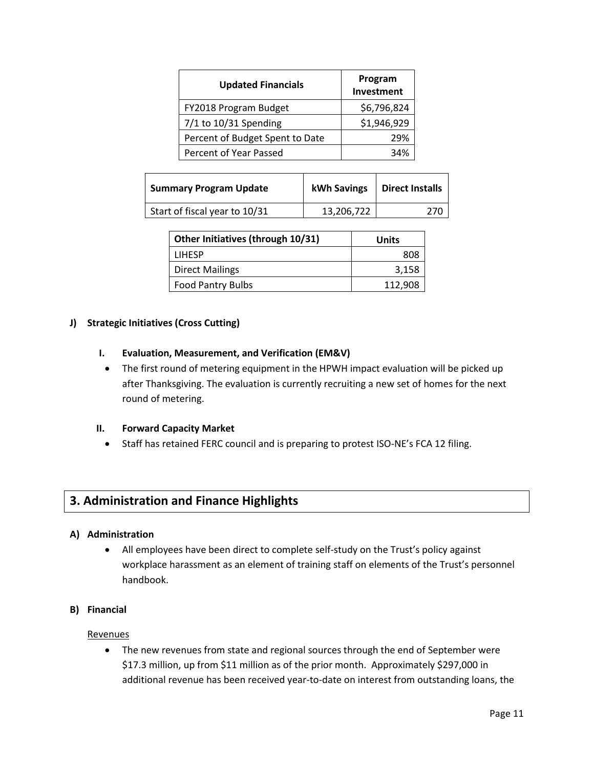| <b>Updated Financials</b>       | Program<br>Investment |
|---------------------------------|-----------------------|
| FY2018 Program Budget           | \$6,796,824           |
| $7/1$ to 10/31 Spending         | \$1,946,929           |
| Percent of Budget Spent to Date | 29%                   |
| Percent of Year Passed          | 34%                   |

| <b>Summary Program Update</b> | kWh Savings | <b>Direct Installs</b> |
|-------------------------------|-------------|------------------------|
| Start of fiscal year to 10/31 | 13,206,722  | 270                    |

| Other Initiatives (through 10/31) | Units   |
|-----------------------------------|---------|
| <b>LIHESP</b>                     | 808     |
| <b>Direct Mailings</b>            | 3,158   |
| <b>Food Pantry Bulbs</b>          | 112,908 |

# **J) Strategic Initiatives (Cross Cutting)**

# **I. Evaluation, Measurement, and Verification (EM&V)**

• The first round of metering equipment in the HPWH impact evaluation will be picked up after Thanksgiving. The evaluation is currently recruiting a new set of homes for the next round of metering.

# **II. Forward Capacity Market**

• Staff has retained FERC council and is preparing to protest ISO-NE's FCA 12 filing.

# **3. Administration and Finance Highlights**

# **A) Administration**

• All employees have been direct to complete self-study on the Trust's policy against workplace harassment as an element of training staff on elements of the Trust's personnel handbook.

# **B) Financial**

# **Revenues**

• The new revenues from state and regional sources through the end of September were \$17.3 million, up from \$11 million as of the prior month. Approximately \$297,000 in additional revenue has been received year-to-date on interest from outstanding loans, the